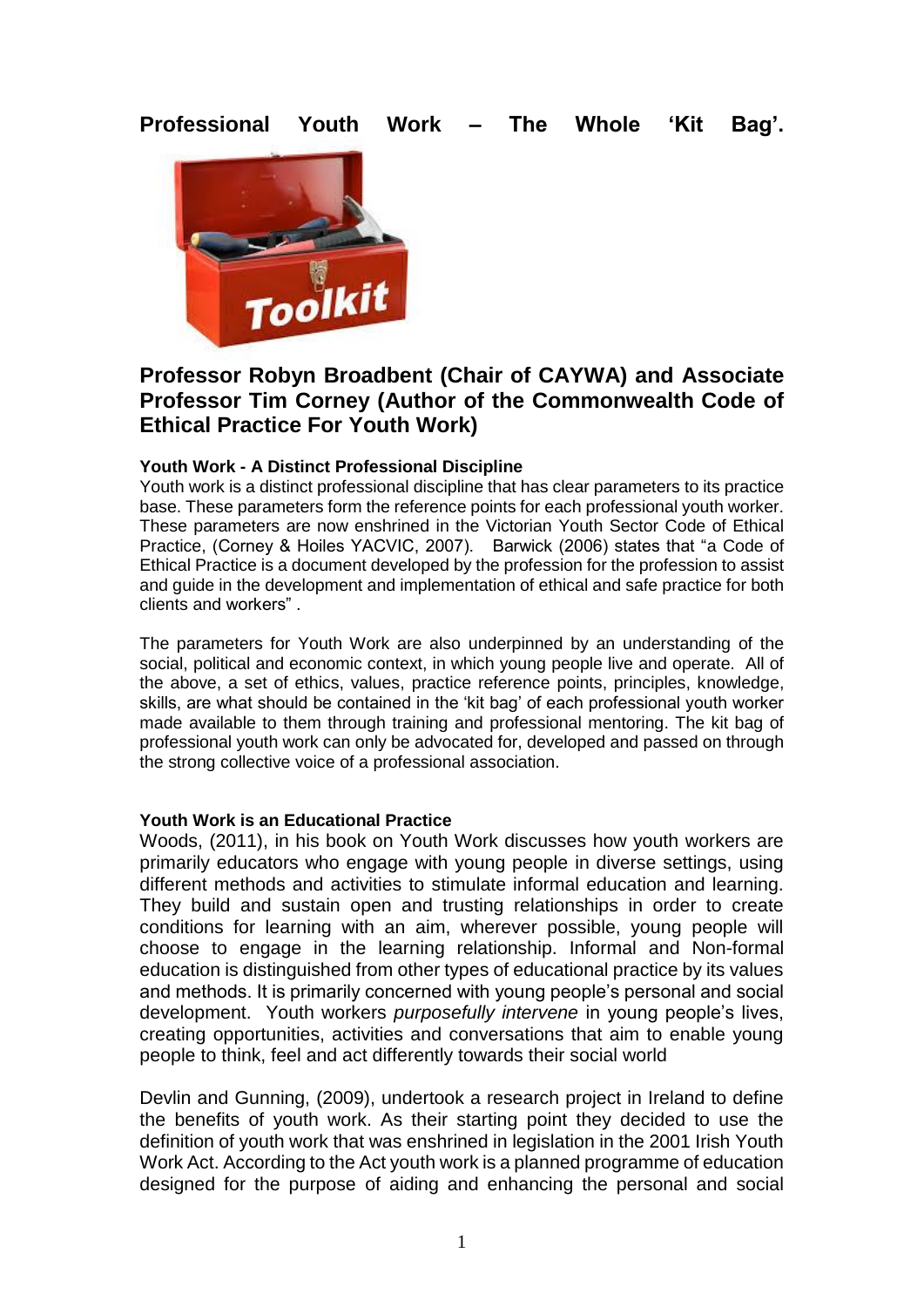# **Professional Youth Work – The Whole 'Kit Bag'.**



## **Professor Robyn Broadbent (Chair of CAYWA) and Associate Professor Tim Corney (Author of the Commonwealth Code of Ethical Practice For Youth Work)**

### **Youth Work - A Distinct Professional Discipline**

Youth work is a distinct professional discipline that has clear parameters to its practice base. These parameters form the reference points for each professional youth worker. These parameters are now enshrined in the Victorian Youth Sector Code of Ethical Practice, (Corney & Hoiles YACVIC, 2007). Barwick (2006) states that "a Code of Ethical Practice is a document developed by the profession for the profession to assist and guide in the development and implementation of ethical and safe practice for both clients and workers" .

The parameters for Youth Work are also underpinned by an understanding of the social, political and economic context, in which young people live and operate. All of the above, a set of ethics, values, practice reference points, principles, knowledge, skills, are what should be contained in the 'kit bag' of each professional youth worker made available to them through training and professional mentoring. The kit bag of professional youth work can only be advocated for, developed and passed on through the strong collective voice of a professional association.

### **Youth Work is an Educational Practice**

Woods, (2011), in his book on Youth Work discusses how youth workers are primarily educators who engage with young people in diverse settings, using different methods and activities to stimulate informal education and learning. They build and sustain open and trusting relationships in order to create conditions for learning with an aim, wherever possible, young people will choose to engage in the learning relationship. Informal and Non-formal education is distinguished from other types of educational practice by its values and methods. It is primarily concerned with young people's personal and social development. Youth workers *purposefully intervene* in young people's lives, creating opportunities, activities and conversations that aim to enable young people to think, feel and act differently towards their social world

Devlin and Gunning, (2009), undertook a research project in Ireland to define the benefits of youth work. As their starting point they decided to use the definition of youth work that was enshrined in legislation in the 2001 Irish Youth Work Act. According to the Act youth work is a planned programme of education designed for the purpose of aiding and enhancing the personal and social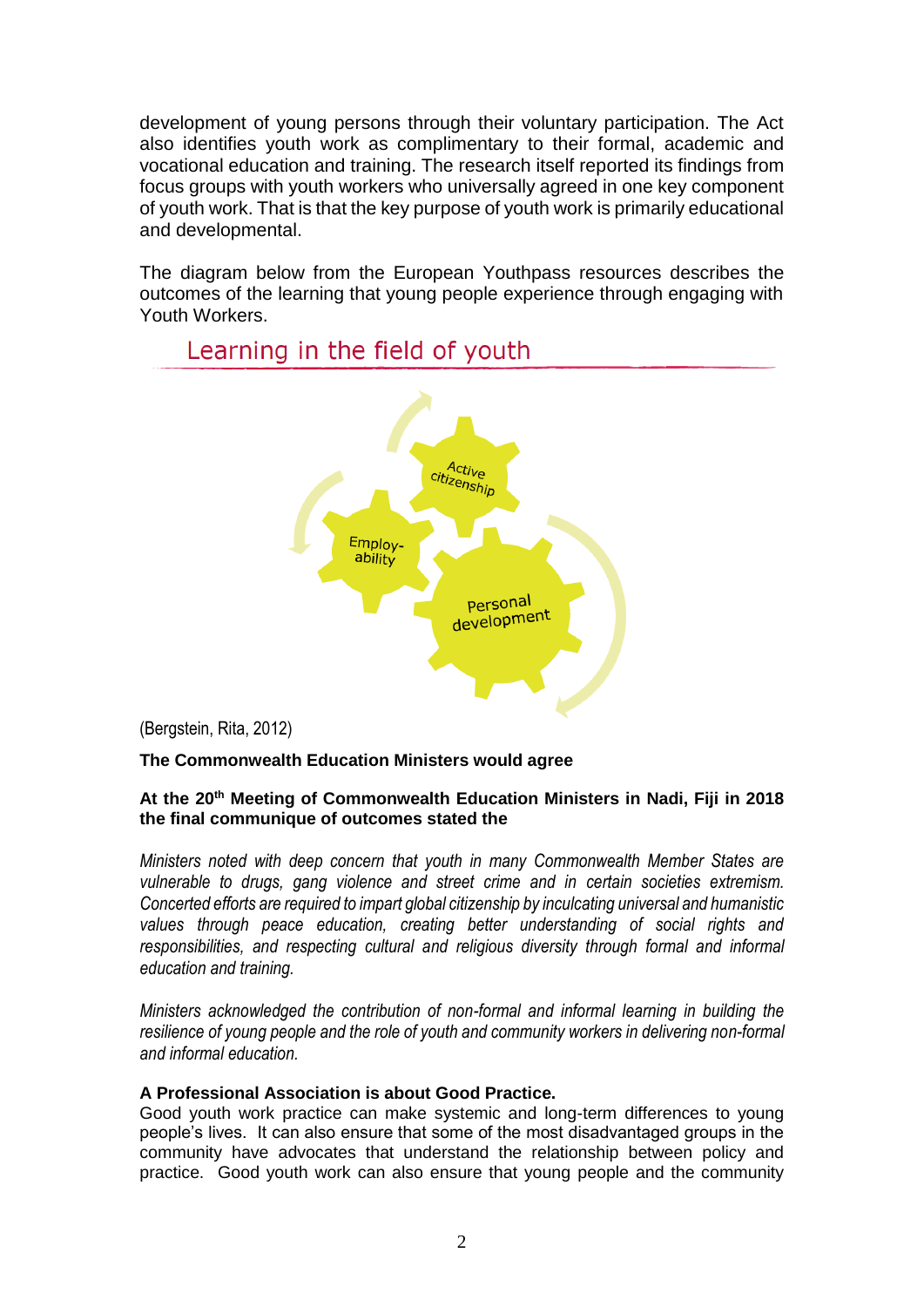development of young persons through their voluntary participation. The Act also identifies youth work as complimentary to their formal, academic and vocational education and training. The research itself reported its findings from focus groups with youth workers who universally agreed in one key component of youth work. That is that the key purpose of youth work is primarily educational and developmental.

The diagram below from the European Youthpass resources describes the outcomes of the learning that young people experience through engaging with Youth Workers.



## Learning in the field of youth

(Bergstein, Rita, 2012)

### **The Commonwealth Education Ministers would agree**

### **At the 20th Meeting of Commonwealth Education Ministers in Nadi, Fiji in 2018 the final communique of outcomes stated the**

*Ministers noted with deep concern that youth in many Commonwealth Member States are vulnerable to drugs, gang violence and street crime and in certain societies extremism. Concerted efforts are required to impart global citizenship by inculcating universal and humanistic values through peace education, creating better understanding of social rights and responsibilities, and respecting cultural and religious diversity through formal and informal education and training.* 

*Ministers acknowledged the contribution of non-formal and informal learning in building the resilience of young people and the role of youth and community workers in delivering non-formal and informal education.* 

### **A Professional Association is about Good Practice.**

Good youth work practice can make systemic and long-term differences to young people's lives. It can also ensure that some of the most disadvantaged groups in the community have advocates that understand the relationship between policy and practice. Good youth work can also ensure that young people and the community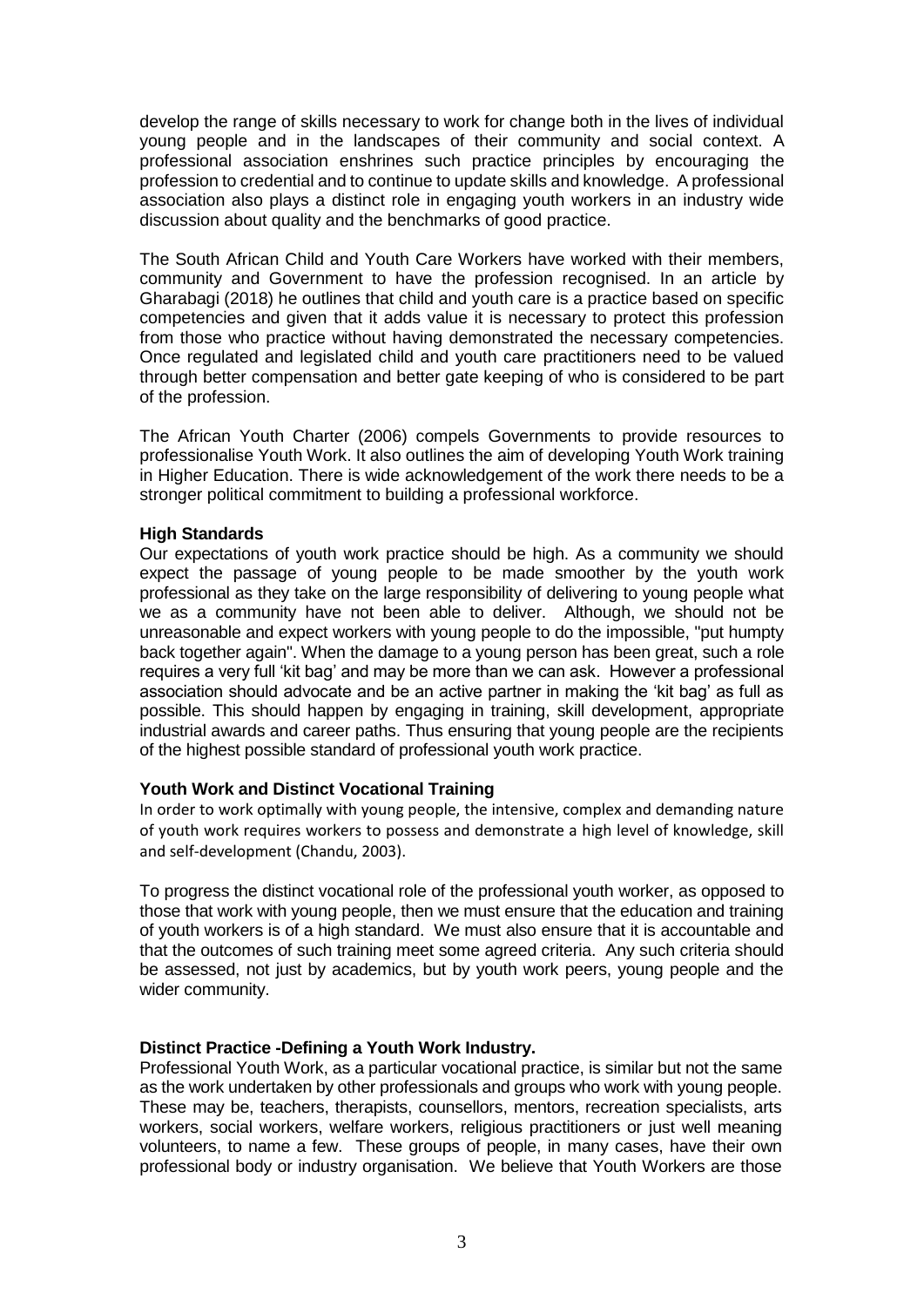develop the range of skills necessary to work for change both in the lives of individual young people and in the landscapes of their community and social context. A professional association enshrines such practice principles by encouraging the profession to credential and to continue to update skills and knowledge. A professional association also plays a distinct role in engaging youth workers in an industry wide discussion about quality and the benchmarks of good practice.

The South African Child and Youth Care Workers have worked with their members, community and Government to have the profession recognised. In an article by Gharabagi (2018) he outlines that child and youth care is a practice based on specific competencies and given that it adds value it is necessary to protect this profession from those who practice without having demonstrated the necessary competencies. Once regulated and legislated child and youth care practitioners need to be valued through better compensation and better gate keeping of who is considered to be part of the profession.

The African Youth Charter (2006) compels Governments to provide resources to professionalise Youth Work. It also outlines the aim of developing Youth Work training in Higher Education. There is wide acknowledgement of the work there needs to be a stronger political commitment to building a professional workforce.

#### **High Standards**

Our expectations of youth work practice should be high. As a community we should expect the passage of young people to be made smoother by the youth work professional as they take on the large responsibility of delivering to young people what we as a community have not been able to deliver. Although, we should not be unreasonable and expect workers with young people to do the impossible, "put humpty back together again". When the damage to a young person has been great, such a role requires a very full 'kit bag' and may be more than we can ask. However a professional association should advocate and be an active partner in making the 'kit bag' as full as possible. This should happen by engaging in training, skill development, appropriate industrial awards and career paths. Thus ensuring that young people are the recipients of the highest possible standard of professional youth work practice.

### **Youth Work and Distinct Vocational Training**

In order to work optimally with young people, the intensive, complex and demanding nature of youth work requires workers to possess and demonstrate a high level of knowledge, skill and self-development (Chandu, 2003).

To progress the distinct vocational role of the professional youth worker, as opposed to those that work with young people, then we must ensure that the education and training of youth workers is of a high standard. We must also ensure that it is accountable and that the outcomes of such training meet some agreed criteria. Any such criteria should be assessed, not just by academics, but by youth work peers, young people and the wider community.

### **Distinct Practice -Defining a Youth Work Industry.**

Professional Youth Work, as a particular vocational practice, is similar but not the same as the work undertaken by other professionals and groups who work with young people. These may be, teachers, therapists, counsellors, mentors, recreation specialists, arts workers, social workers, welfare workers, religious practitioners or just well meaning volunteers, to name a few. These groups of people, in many cases, have their own professional body or industry organisation. We believe that Youth Workers are those